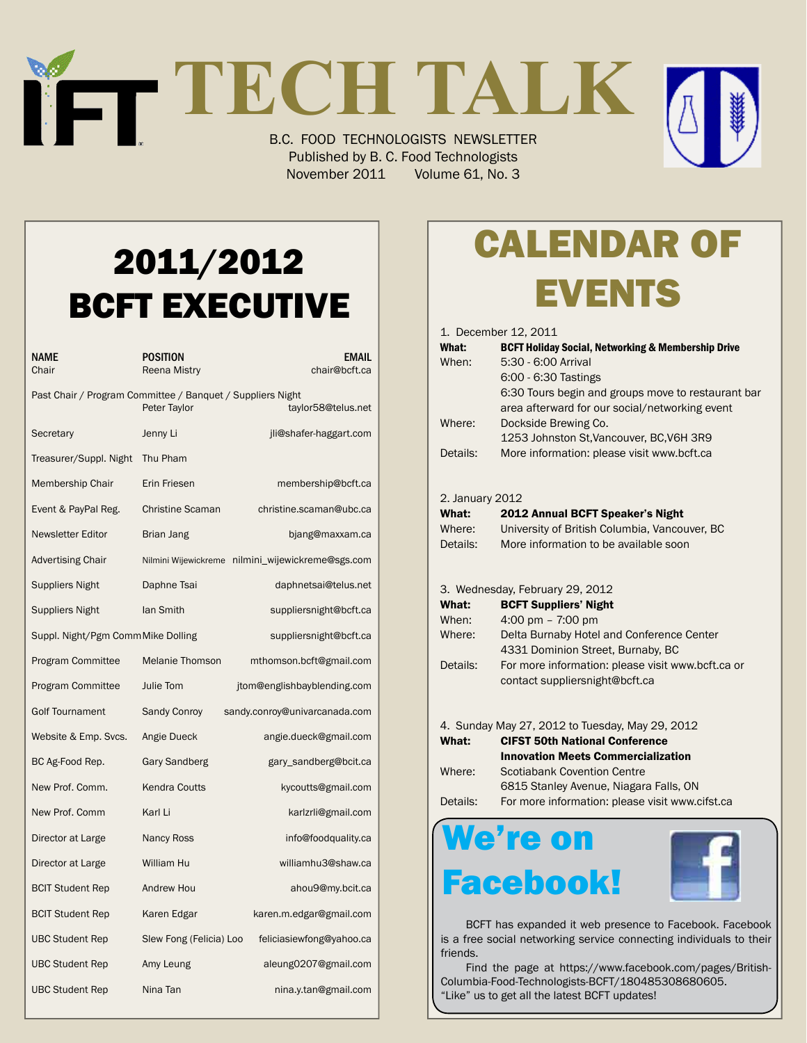# **TECH TALK**

B.C. FOOD TECHNOLOGISTS NEWSLETTER Published by B. C. Food Technologists November 2011 Volume 61, No. 3

## 2011/2012 BCFT EXECUTIVE

| NAME<br>Chair                                                                                    | POSITION<br>Reena Mistry           | <b>EMAIL</b><br>chair@bcft.ca                     |  |  |
|--------------------------------------------------------------------------------------------------|------------------------------------|---------------------------------------------------|--|--|
| Past Chair / Program Committee / Banquet / Suppliers Night<br>Peter Taylor<br>taylor58@telus.net |                                    |                                                   |  |  |
| Secretary                                                                                        | Jenny Li<br>jli@shafer-haggart.com |                                                   |  |  |
| Treasurer/Suppl. Night                                                                           | Thu Pham                           |                                                   |  |  |
| Membership Chair                                                                                 | Erin Friesen                       | membership@bcft.ca                                |  |  |
| Event & PayPal Reg.                                                                              | <b>Christine Scaman</b>            | christine.scaman@ubc.ca                           |  |  |
| Newsletter Editor                                                                                | Brian Jang                         | bjang@maxxam.ca                                   |  |  |
| <b>Advertising Chair</b>                                                                         |                                    | Nilmini Wijewickreme nilmini_wijewickreme@sgs.com |  |  |
| <b>Suppliers Night</b>                                                                           | Daphne Tsai                        | daphnetsai@telus.net                              |  |  |
| <b>Suppliers Night</b>                                                                           | lan Smith                          | suppliersnight@bcft.ca                            |  |  |
| Suppl. Night/Pgm CommMike Dolling                                                                |                                    | suppliersnight@bcft.ca                            |  |  |
| Program Committee                                                                                | Melanie Thomson                    | mthomson.bcft@gmail.com                           |  |  |
| <b>Program Committee</b>                                                                         | <b>Julie Tom</b>                   | jtom@englishbayblending.com                       |  |  |
| <b>Golf Tournament</b>                                                                           | Sandy Conroy                       | sandy.conroy@univarcanada.com                     |  |  |
| Website & Emp. Svcs.                                                                             | Angie Dueck                        | angie.dueck@gmail.com                             |  |  |
| BC Ag-Food Rep.                                                                                  | Gary Sandberg                      | gary_sandberg@bcit.ca                             |  |  |
| New Prof. Comm.                                                                                  | <b>Kendra Coutts</b>               | kycoutts@gmail.com                                |  |  |
| New Prof. Comm                                                                                   | Karl Li                            | karlzrli@gmail.com                                |  |  |
| Director at Large                                                                                | <b>Nancy Ross</b>                  | info@foodquality.ca                               |  |  |
| Director at Large                                                                                | William Hu                         | williamhu3@shaw.ca                                |  |  |
| <b>BCIT Student Rep</b>                                                                          | Andrew Hou                         | ahou9@my.bcit.ca                                  |  |  |
| <b>BCIT Student Rep</b>                                                                          | Karen Edgar                        | karen.m.edgar@gmail.com                           |  |  |
| <b>UBC Student Rep</b>                                                                           | Slew Fong (Felicia) Loo            | feliciasiewfong@yahoo.ca                          |  |  |
| <b>UBC Student Rep</b>                                                                           | Amy Leung                          | aleung0207@gmail.com                              |  |  |
| <b>UBC Student Rep</b>                                                                           | Nina Tan                           | nina.y.tan@gmail.com                              |  |  |

# Calendar Of **EVENTS**

|                 | 1. December 12, 2011                                             |
|-----------------|------------------------------------------------------------------|
| What:           | <b>BCFT Holiday Social, Networking &amp; Membership Drive</b>    |
| When:           | 5:30 - 6:00 Arrival                                              |
|                 | 6:00 - 6:30 Tastings                                             |
|                 | 6:30 Tours begin and groups move to restaurant bar               |
|                 | area afterward for our social/networking event                   |
| Where:          | Dockside Brewing Co.                                             |
|                 | 1253 Johnston St, Vancouver, BC, V6H 3R9                         |
| Details:        | More information: please visit www.bcft.ca                       |
|                 |                                                                  |
| 2. January 2012 |                                                                  |
| What:           | 2012 Annual BCFT Speaker's Night                                 |
| Where:          | University of British Columbia, Vancouver, BC                    |
| Details:        | More information to be available soon                            |
|                 |                                                                  |
|                 |                                                                  |
| What:           | 3. Wednesday, February 29, 2012                                  |
| When:           | <b>BCFT Suppliers' Night</b>                                     |
| Where:          | 4:00 pm $- 7:00$ pm<br>Delta Burnaby Hotel and Conference Center |
|                 | 4331 Dominion Street, Burnaby, BC                                |
| Details:        | For more information: please visit www.bcft.ca or                |
|                 | contact suppliersnight@bcft.ca                                   |
|                 |                                                                  |
|                 |                                                                  |
|                 | 4. Sunday May 27, 2012 to Tuesday, May 29, 2012                  |
| What:           | <b>CIFST 50th National Conference</b>                            |
|                 | <b>Innovation Meets Commercialization</b>                        |
| Where:          | <b>Scotiabank Covention Centre</b>                               |
|                 | 6815 Stanley Avenue, Niagara Falls, ON                           |
| Details:        | For more information: please visit www.cifst.ca                  |

## We're on Facebook!



 BCFT has expanded it web presence to Facebook. Facebook is a free social networking service connecting individuals to their friends.

 Find the page at https://www.facebook.com/pages/British-Columbia-Food-Technologists-BCFT/180485308680605. "Like" us to get all the latest BCFT updates!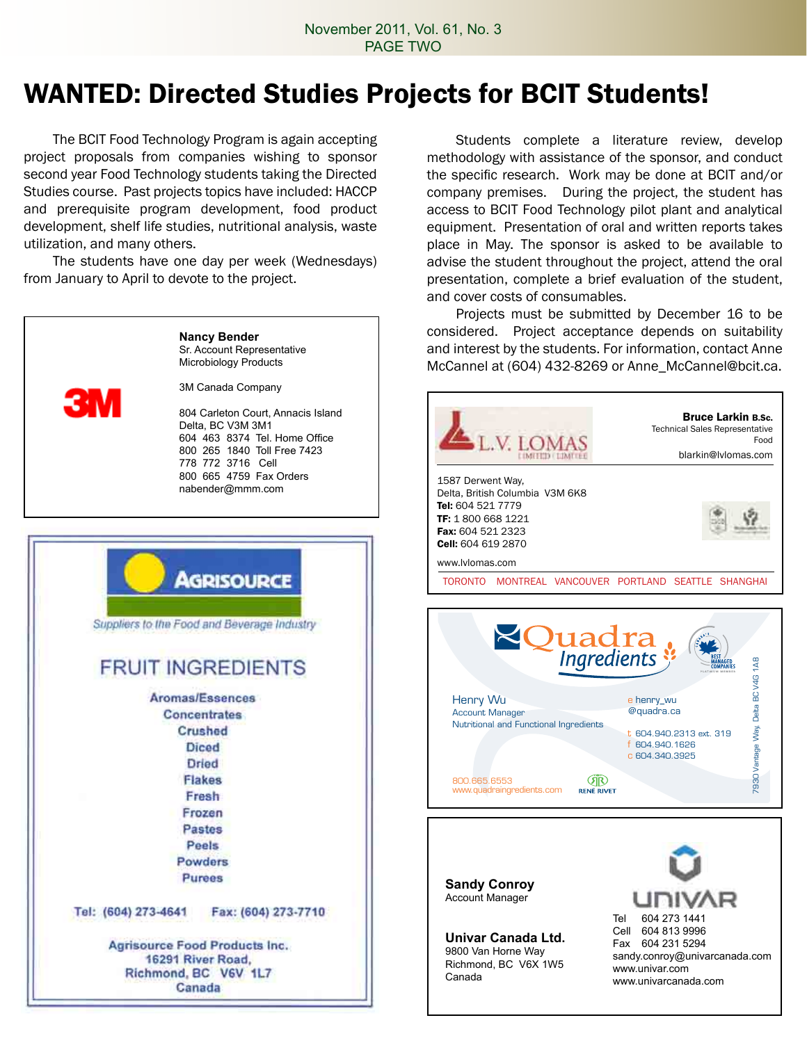### WANTED: Directed Studies Projects for BCIT Students!

 The BCIT Food Technology Program is again accepting project proposals from companies wishing to sponsor second year Food Technology students taking the Directed Studies course. Past projects topics have included: HACCP and prerequisite program development, food product development, shelf life studies, nutritional analysis, waste utilization, and many others.

 The students have one day per week (Wednesdays) from January to April to devote to the project.

| <b>3M</b>           | <b>Nancy Bender</b><br>Sr. Account Representative<br>Microbiology Products<br>3M Canada Company<br>804 Carleton Court, Annacis Island<br>Delta, BC V3M 3M1<br>604 463 8374 Tel. Home Office<br>800 265 1840 Toll Free 7423<br>778 772 3716 Cell<br>800 665 4759 Fax Orders<br>nabender@mmm.com |
|---------------------|------------------------------------------------------------------------------------------------------------------------------------------------------------------------------------------------------------------------------------------------------------------------------------------------|
|                     |                                                                                                                                                                                                                                                                                                |
|                     | <b>AGRISOURCE</b><br>Suppliers to the Food and Beverage Industry                                                                                                                                                                                                                               |
|                     | <b>FRUIT INGREDIENTS</b>                                                                                                                                                                                                                                                                       |
|                     | Aromas/Essences                                                                                                                                                                                                                                                                                |
|                     | <b>Concentrates</b>                                                                                                                                                                                                                                                                            |
|                     | Crushed                                                                                                                                                                                                                                                                                        |
|                     | <b>Diced</b>                                                                                                                                                                                                                                                                                   |
|                     | Dried                                                                                                                                                                                                                                                                                          |
|                     | Flakes                                                                                                                                                                                                                                                                                         |
|                     | Fresh                                                                                                                                                                                                                                                                                          |
|                     | Frozen                                                                                                                                                                                                                                                                                         |
|                     | Pastes                                                                                                                                                                                                                                                                                         |
|                     | Peels                                                                                                                                                                                                                                                                                          |
|                     | Powders                                                                                                                                                                                                                                                                                        |
|                     | Purees                                                                                                                                                                                                                                                                                         |
| Tel: (604) 273-4641 | Fax: (604) 273-7710                                                                                                                                                                                                                                                                            |
|                     | <b>Agrisource Food Products Inc.</b>                                                                                                                                                                                                                                                           |
|                     | 16291 River Road,                                                                                                                                                                                                                                                                              |
|                     | Richmond BC V6V 1L7                                                                                                                                                                                                                                                                            |
|                     | Canada                                                                                                                                                                                                                                                                                         |

 Students complete a literature review, develop methodology with assistance of the sponsor, and conduct the specific research. Work may be done at BCIT and/or company premises. During the project, the student has access to BCIT Food Technology pilot plant and analytical equipment. Presentation of oral and written reports takes place in May. The sponsor is asked to be available to advise the student throughout the project, attend the oral presentation, complete a brief evaluation of the student, and cover costs of consumables.

 Projects must be submitted by December 16 to be considered. Project acceptance depends on suitability and interest by the students. For information, contact Anne McCannel at (604) 432-8269 or Anne\_McCannel@bcit.ca.



**Sandy Conroy** Account Manager

**Univar Canada Ltd.** 9800 Van Horne Way Richmond, BC V6X 1W5 Canada

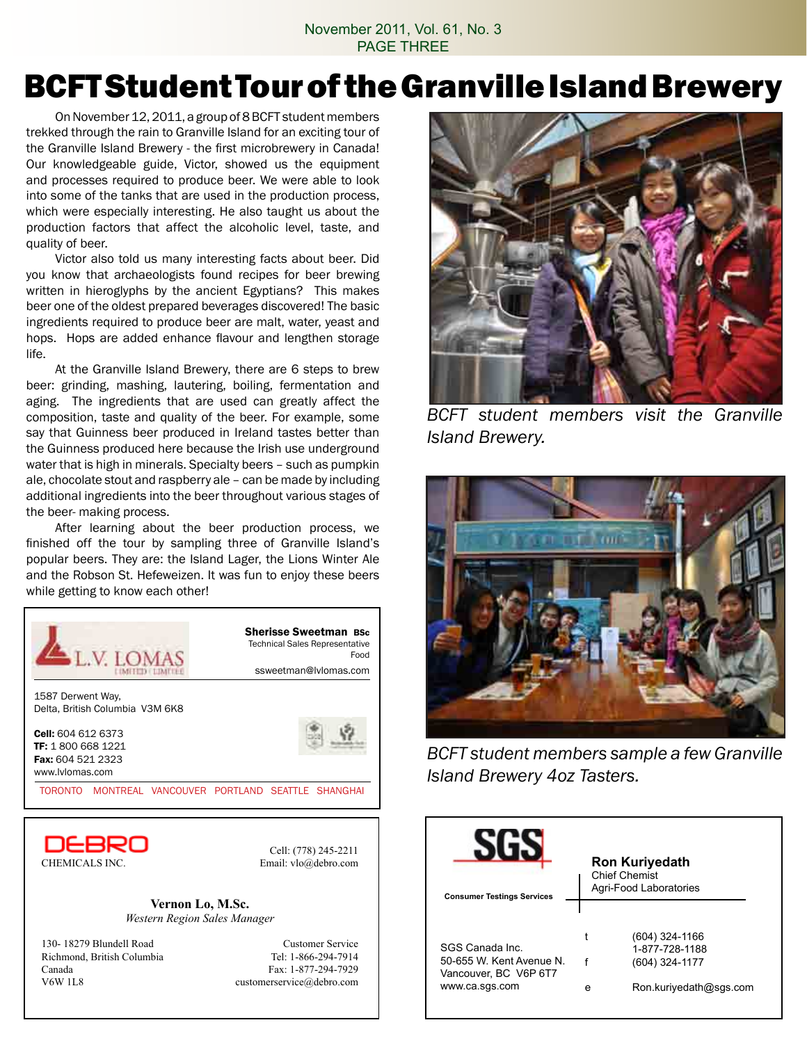#### November 2011, Vol. 61, No. 3 PAGE THREE

## BCFT Student Tour of the Granville Island Brewery

On November 12, 2011, a group of 8 BCFT student members trekked through the rain to Granville Island for an exciting tour of the Granville Island Brewery - the first microbrewery in Canada! Our knowledgeable guide, Victor, showed us the equipment and processes required to produce beer. We were able to look into some of the tanks that are used in the production process, which were especially interesting. He also taught us about the production factors that affect the alcoholic level, taste, and quality of beer.

 Victor also told us many interesting facts about beer. Did you know that archaeologists found recipes for beer brewing written in hieroglyphs by the ancient Egyptians? This makes beer one of the oldest prepared beverages discovered! The basic ingredients required to produce beer are malt, water, yeast and hops. Hops are added enhance flavour and lengthen storage life.

 At the Granville Island Brewery, there are 6 steps to brew beer: grinding, mashing, lautering, boiling, fermentation and aging. The ingredients that are used can greatly affect the composition, taste and quality of the beer. For example, some say that Guinness beer produced in Ireland tastes better than the Guinness produced here because the Irish use underground water that is high in minerals. Specialty beers – such as pumpkin ale, chocolate stout and raspberry ale – can be made by including additional ingredients into the beer throughout various stages of the beer- making process.

 After learning about the beer production process, we finished off the tour by sampling three of Granville Island's popular beers. They are: the Island Lager, the Lions Winter Ale and the Robson St. Hefeweizen. It was fun to enjoy these beers while getting to know each other!



**Vernon Lo, M.Sc.** *Western Region Sales Manager*

130- 18279 Blundell Road Customer Service Richmond, British Columbia Tel: 1-866-294-7914 Canada Fax: 1-877-294-7929 V6W 1L8 customerservice@debro.com



*BCFT student members visit the Granville Island Brewery.*



*BCFT student members sample a few Granville Island Brewery 4oz Tasters.* 

| <b>Consumer Testings Services</b>                                   |   | <b>Ron Kuriyedath</b><br><b>Chief Chemist</b><br>Agri-Food Laboratories |
|---------------------------------------------------------------------|---|-------------------------------------------------------------------------|
|                                                                     |   |                                                                         |
|                                                                     |   | (604) 324-1166                                                          |
| SGS Canada Inc.                                                     |   | 1-877-728-1188                                                          |
| 50-655 W. Kent Avenue N.<br>Vancouver, BC V6P 6T7<br>www.ca.sgs.com |   | (604) 324-1177                                                          |
|                                                                     |   |                                                                         |
|                                                                     | е | Ron.kuriyedath@sgs.com                                                  |
|                                                                     |   |                                                                         |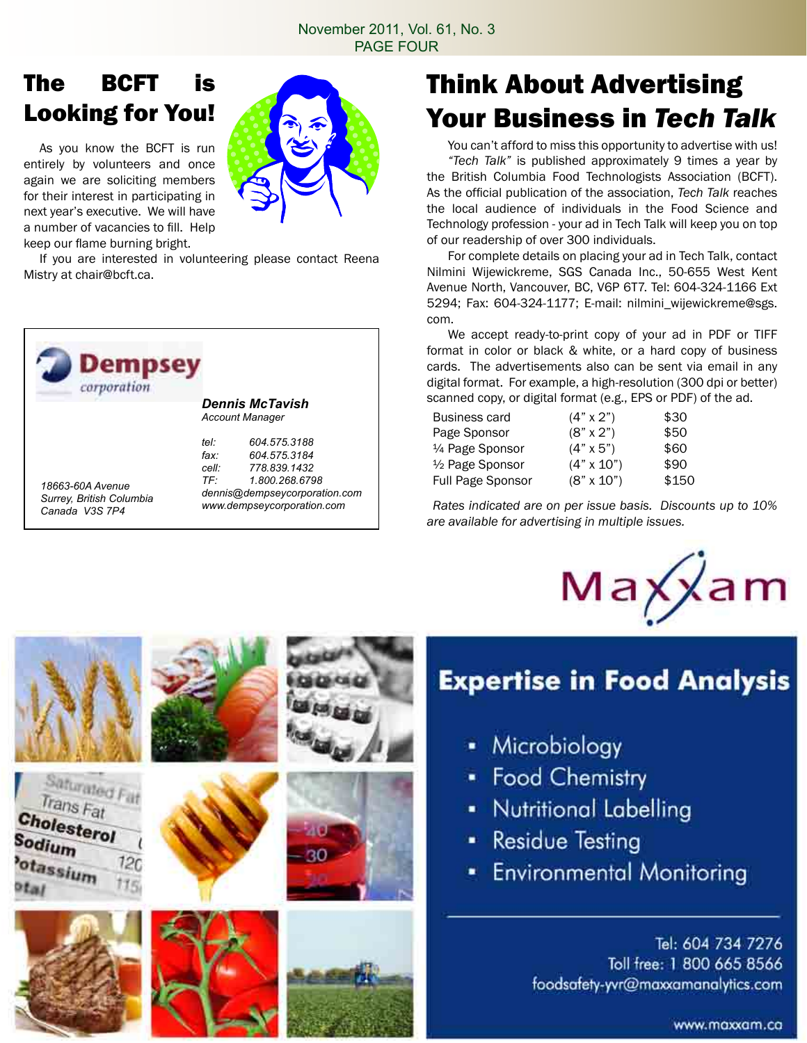#### The BCFT is Looking for You!

 As you know the BCFT is run entirely by volunteers and once again we are soliciting members for their interest in participating in next year's executive. We will have a number of vacancies to fill. Help keep our flame burning bright.

Saturated Fat Trans Fat

Cholesterol

Sodium

otassium



30

 If you are interested in volunteering please contact Reena Mistry at chair@bcft.ca.



## Think About Advertising Your Business in *Tech Talk*

You can't afford to miss this opportunity to advertise with us! *"Tech Talk"* is published approximately 9 times a year by the British Columbia Food Technologists Association (BCFT). As the official publication of the association, *Tech Talk* reaches the local audience of individuals in the Food Science and Technology profession - your ad in Tech Talk will keep you on top of our readership of over 300 individuals.

 For complete details on placing your ad in Tech Talk, contact Nilmini Wijewickreme, SGS Canada Inc., 50-655 West Kent Avenue North, Vancouver, BC, V6P 6T7. Tel: 604-324-1166 Ext 5294; Fax: 604-324-1177; E-mail: nilmini\_wijewickreme@sgs. com.

 We accept ready-to-print copy of your ad in PDF or TIFF format in color or black & white, or a hard copy of business cards. The advertisements also can be sent via email in any digital format. For example, a high-resolution (300 dpi or better) scanned copy, or digital format (e.g., EPS or PDF) of the ad.

| $(4" \times 2")$  | \$30  |
|-------------------|-------|
| $(8" \times 2")$  | \$50  |
| $(4" \times 5")$  | \$60  |
| $(4" \times 10")$ | \$90  |
| $(8" \times 10")$ | \$150 |
|                   |       |

*Rates indicated are on per issue basis. Discounts up to 10% are available for advertising in multiple issues.*



## **Expertise in Food Analysis**

- Microbiology
- Food Chemistry
- Nutritional Labelling
- **Residue Testing**
- **Environmental Monitoring**

Tel: 604 734 7276 Toll free: 1 800 665 8566 foodsafety-yvr@maxxamanalytics.com

www.maxxam.co